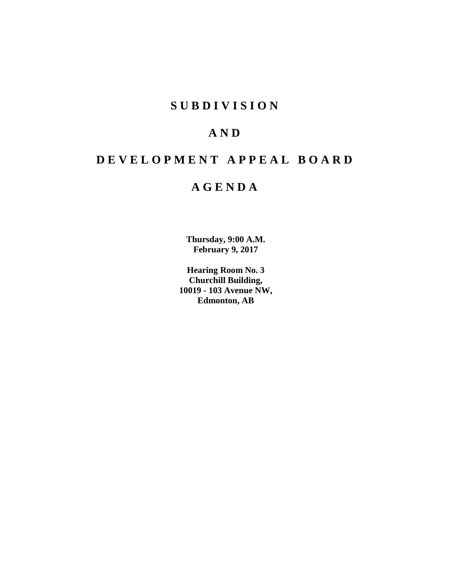# **SUBDIVISION**

# **AND**

# **DEVELOPMENT APPEAL BOARD**

# **AGENDA**

**Thursday, 9:00 A.M. February 9, 2017**

**Hearing Room No. 3 Churchill Building, 10019 - 103 Avenue NW, Edmonton, AB**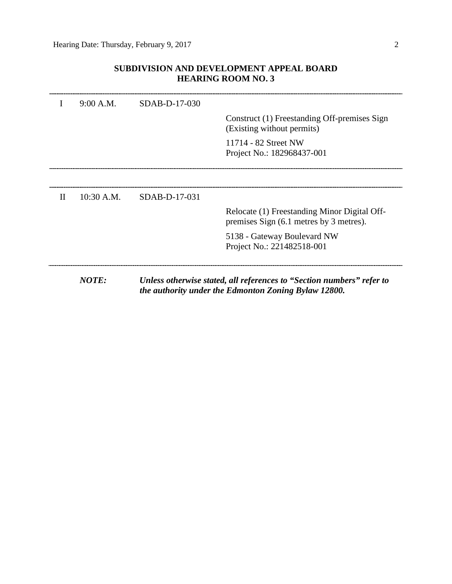# **SUBDIVISION AND DEVELOPMENT APPEAL BOARD HEARING ROOM NO. 3**

|   | <b>NOTE:</b> |               | Unless otherwise stated, all references to "Section numbers" refer to<br>the authority under the Edmonton Zoning Bylaw 12800. |
|---|--------------|---------------|-------------------------------------------------------------------------------------------------------------------------------|
|   |              |               | 5138 - Gateway Boulevard NW<br>Project No.: 221482518-001                                                                     |
|   |              |               | Relocate (1) Freestanding Minor Digital Off-<br>premises Sign (6.1 metres by 3 metres).                                       |
| H | 10:30 A.M.   | SDAB-D-17-031 |                                                                                                                               |
|   |              |               |                                                                                                                               |
|   |              |               | 11714 - 82 Street NW<br>Project No.: 182968437-001                                                                            |
|   |              |               | Construct (1) Freestanding Off-premises Sign<br>(Existing without permits)                                                    |
| I | 9:00 A.M.    | SDAB-D-17-030 |                                                                                                                               |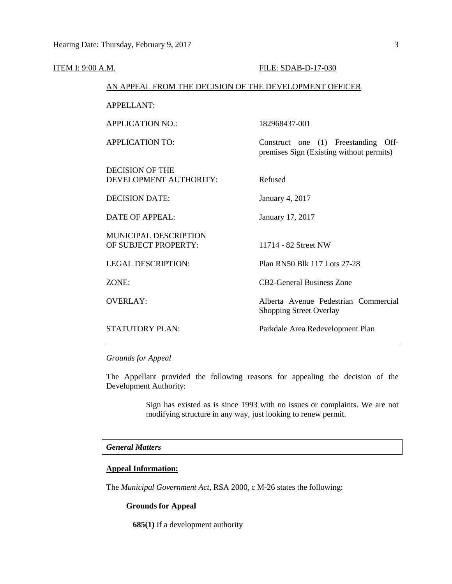| <u>ITEM I: 9:00 A.M.</u> |                                                        | FILE: SDAB-D-17-030                                                             |
|--------------------------|--------------------------------------------------------|---------------------------------------------------------------------------------|
|                          | AN APPEAL FROM THE DECISION OF THE DEVELOPMENT OFFICER |                                                                                 |
|                          | <b>APPELLANT:</b>                                      |                                                                                 |
|                          | <b>APPLICATION NO.:</b>                                | 182968437-001                                                                   |
|                          | <b>APPLICATION TO:</b>                                 | Construct one (1) Freestanding Off-<br>premises Sign (Existing without permits) |
|                          | <b>DECISION OF THE</b><br>DEVELOPMENT AUTHORITY:       | Refused                                                                         |
|                          | <b>DECISION DATE:</b>                                  | January 4, 2017                                                                 |
|                          | <b>DATE OF APPEAL:</b>                                 | January 17, 2017                                                                |
|                          | <b>MUNICIPAL DESCRIPTION</b><br>OF SUBJECT PROPERTY:   | 11714 - 82 Street NW                                                            |
|                          | <b>LEGAL DESCRIPTION:</b>                              | Plan RN50 Blk 117 Lots 27-28                                                    |
|                          | ZONE:                                                  | <b>CB2-General Business Zone</b>                                                |
|                          | <b>OVERLAY:</b>                                        | Alberta Avenue Pedestrian Commercial<br><b>Shopping Street Overlay</b>          |
|                          | <b>STATUTORY PLAN:</b>                                 | Parkdale Area Redevelopment Plan                                                |
|                          |                                                        |                                                                                 |

*Grounds for Appeal*

The Appellant provided the following reasons for appealing the decision of the Development Authority:

> Sign has existed as is since 1993 with no issues or complaints. We are not modifying structure in any way, just looking to renew permit.

### *General Matters*

## **Appeal Information:**

The *Municipal Government Act*, RSA 2000, c M-26 states the following:

#### **Grounds for Appeal**

**685(1)** If a development authority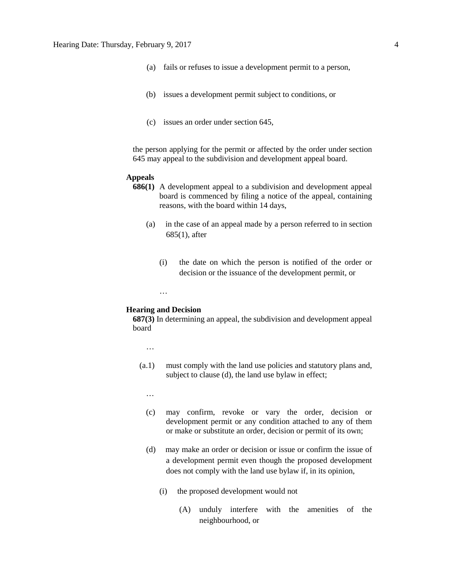- (a) fails or refuses to issue a development permit to a person,
- (b) issues a development permit subject to conditions, or
- (c) issues an order under section 645,

the person applying for the permit or affected by the order under section 645 may appeal to the subdivision and development appeal board.

#### **Appeals**

- **686(1)** A development appeal to a subdivision and development appeal board is commenced by filing a notice of the appeal, containing reasons, with the board within 14 days,
	- (a) in the case of an appeal made by a person referred to in section 685(1), after
		- (i) the date on which the person is notified of the order or decision or the issuance of the development permit, or

#### **Hearing and Decision**

…

**687(3)** In determining an appeal, the subdivision and development appeal board

…

- (a.1) must comply with the land use policies and statutory plans and, subject to clause (d), the land use bylaw in effect;
	- …
	- (c) may confirm, revoke or vary the order, decision or development permit or any condition attached to any of them or make or substitute an order, decision or permit of its own;
	- (d) may make an order or decision or issue or confirm the issue of a development permit even though the proposed development does not comply with the land use bylaw if, in its opinion,
		- (i) the proposed development would not
			- (A) unduly interfere with the amenities of the neighbourhood, or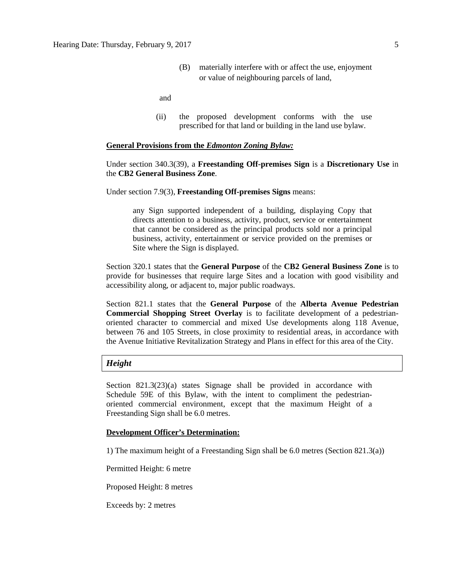(B) materially interfere with or affect the use, enjoyment or value of neighbouring parcels of land,

and

(ii) the proposed development conforms with the use prescribed for that land or building in the land use bylaw.

#### **General Provisions from the** *Edmonton Zoning Bylaw:*

#### Under section 340.3(39), a **Freestanding Off-premises Sign** is a **Discretionary Use** in the **CB2 General Business Zone**.

Under section 7.9(3), **Freestanding Off-premises Signs** means:

any Sign supported independent of a building, displaying Copy that directs attention to a business, activity, product, service or entertainment that cannot be considered as the principal products sold nor a principal business, activity, entertainment or service provided on the premises or Site where the Sign is displayed.

Section 320.1 states that the **General Purpose** of the **CB2 General Business Zone** is to provide for businesses that require large Sites and a location with good visibility and accessibility along, or adjacent to, major public roadways.

Section 821.1 states that the **General Purpose** of the **Alberta Avenue Pedestrian Commercial Shopping Street Overlay** is to facilitate development of a pedestrianoriented character to commercial and mixed Use developments along 118 Avenue, between 76 and 105 Streets, in close proximity to residential areas, in accordance with the Avenue Initiative Revitalization Strategy and Plans in effect for this area of the City.

#### *Height*

Section 821.3(23)(a) states Signage shall be provided in accordance with Schedule 59E of this Bylaw, with the intent to compliment the pedestrianoriented commercial environment, except that the maximum Height of a Freestanding Sign shall be 6.0 metres.

#### **Development Officer's Determination:**

1) The maximum height of a Freestanding Sign shall be 6.0 metres (Section 821.3(a))

Permitted Height: 6 metre

Proposed Height: 8 metres

Exceeds by: 2 metres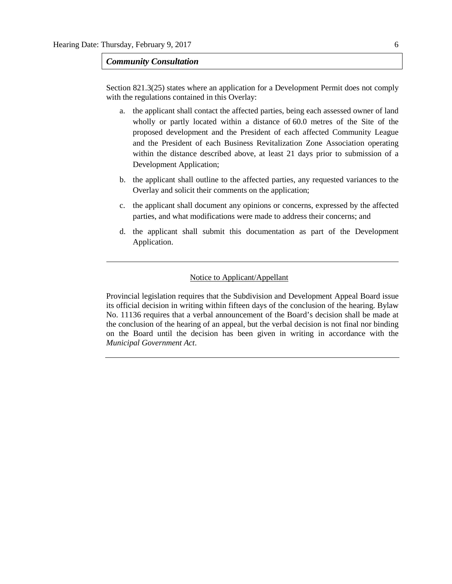### *Community Consultation*

Section 821.3(25) states where an application for a Development Permit does not comply with the regulations contained in this Overlay:

- a. the applicant shall contact the affected parties, being each assessed owner of land wholly or partly located within a distance of 60.0 metres of the Site of the proposed development and the President of each affected Community League and the President of each Business Revitalization Zone Association operating within the distance described above, at least 21 days prior to submission of a Development Application;
- b. the applicant shall outline to the affected parties, any requested variances to the Overlay and solicit their comments on the application;
- c. the applicant shall document any opinions or concerns, expressed by the affected parties, and what modifications were made to address their concerns; and
- d. the applicant shall submit this documentation as part of the Development Application.

### Notice to Applicant/Appellant

Provincial legislation requires that the Subdivision and Development Appeal Board issue its official decision in writing within fifteen days of the conclusion of the hearing. Bylaw No. 11136 requires that a verbal announcement of the Board's decision shall be made at the conclusion of the hearing of an appeal, but the verbal decision is not final nor binding on the Board until the decision has been given in writing in accordance with the *Municipal Government Act*.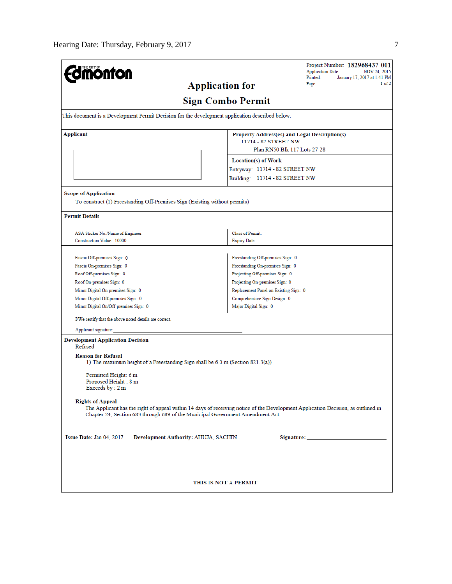| <b>mönton</b>                                                                                   | Project Number: 182968437-001<br><b>Application Date:</b><br>NOV 24, 2015<br>Printed:<br>January 17, 2017 at 1:41 PM             |  |  |
|-------------------------------------------------------------------------------------------------|----------------------------------------------------------------------------------------------------------------------------------|--|--|
| <b>Application for</b>                                                                          | 1 of 2<br>Page:                                                                                                                  |  |  |
|                                                                                                 |                                                                                                                                  |  |  |
|                                                                                                 | <b>Sign Combo Permit</b>                                                                                                         |  |  |
| This document is a Development Permit Decision for the development application described below. |                                                                                                                                  |  |  |
| Applicant                                                                                       | Property Address(es) and Legal Description(s)<br>11714 - 82 STREET NW                                                            |  |  |
|                                                                                                 | Plan RN50 Blk 117 Lots 27-28                                                                                                     |  |  |
|                                                                                                 |                                                                                                                                  |  |  |
|                                                                                                 | Location(s) of Work                                                                                                              |  |  |
|                                                                                                 | Entryway: 11714 - 82 STREET NW                                                                                                   |  |  |
|                                                                                                 | Building: 11714 - 82 STREET NW                                                                                                   |  |  |
| <b>Scope of Application</b>                                                                     |                                                                                                                                  |  |  |
| To construct (1) Freestanding Off-Premises Sign (Existing without permits)                      |                                                                                                                                  |  |  |
|                                                                                                 |                                                                                                                                  |  |  |
| <b>Permit Details</b>                                                                           |                                                                                                                                  |  |  |
|                                                                                                 |                                                                                                                                  |  |  |
| ASA Sticker No./Name of Engineer:<br>Construction Value: 10000                                  | Class of Permit:<br><b>Expiry Date:</b>                                                                                          |  |  |
|                                                                                                 |                                                                                                                                  |  |  |
| Fascia Off-premises Sign: 0                                                                     | Freestanding Off-premises Sign: 0                                                                                                |  |  |
| Fascia On-premises Sign: 0                                                                      | Freestanding On-premises Sign: 0                                                                                                 |  |  |
| Roof Off-premises Sign: 0                                                                       | Projecting Off-premises Sign: 0                                                                                                  |  |  |
| Roof On-premises Sign: 0                                                                        | Projecting On-premises Sign: 0                                                                                                   |  |  |
| Minor Digital On-premises Sign: 0                                                               | Replacement Panel on Existing Sign: 0                                                                                            |  |  |
| Minor Digital Off-premises Sign: 0                                                              | Comprehensive Sign Design: 0                                                                                                     |  |  |
| Minor Digital On/Off-premises Sign: 0                                                           | Major Digital Sign: 0                                                                                                            |  |  |
| I/We certify that the above noted details are correct.                                          |                                                                                                                                  |  |  |
| Applicant signature:                                                                            |                                                                                                                                  |  |  |
| <b>Development Application Decision</b>                                                         |                                                                                                                                  |  |  |
| Refused                                                                                         |                                                                                                                                  |  |  |
| <b>Reason for Refusal</b>                                                                       |                                                                                                                                  |  |  |
| 1) The maximum height of a Freestanding Sign shall be 6.0 m (Section 821.3(a))                  |                                                                                                                                  |  |  |
|                                                                                                 |                                                                                                                                  |  |  |
| Permitted Height: 6 m<br>Proposed Height: 8 m                                                   |                                                                                                                                  |  |  |
| Exceeds by : $2 \text{ m}$                                                                      |                                                                                                                                  |  |  |
|                                                                                                 |                                                                                                                                  |  |  |
| <b>Rights of Appeal</b>                                                                         | The Applicant has the right of appeal within 14 days of receiving notice of the Development Application Decision, as outlined in |  |  |
| Chapter 24, Section 683 through 689 of the Municipal Government Amendment Act.                  |                                                                                                                                  |  |  |
|                                                                                                 |                                                                                                                                  |  |  |
|                                                                                                 |                                                                                                                                  |  |  |
| Issue Date: Jan 04, 2017<br>Development Authority: AHUJA, SACHIN                                |                                                                                                                                  |  |  |
|                                                                                                 |                                                                                                                                  |  |  |
|                                                                                                 |                                                                                                                                  |  |  |
|                                                                                                 |                                                                                                                                  |  |  |
|                                                                                                 |                                                                                                                                  |  |  |
|                                                                                                 | THIS IS NOT A PERMIT                                                                                                             |  |  |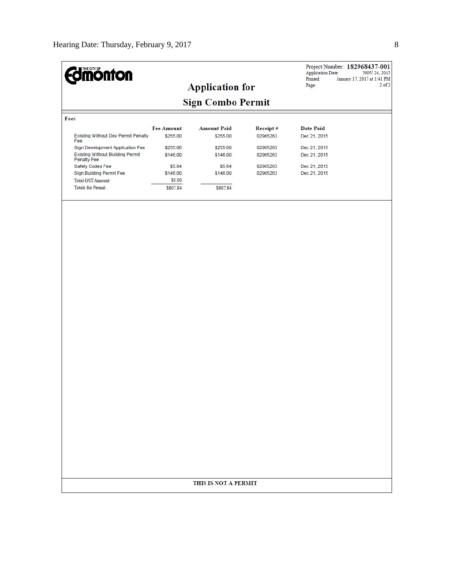| <b>Edimonton</b>                                                            |                    |                          |                      | <b>Application Date:</b><br>Printed: | Project Number: 182968437-001<br>NOV 24, 2015<br>January 17, 2017 at 1:41 PM |
|-----------------------------------------------------------------------------|--------------------|--------------------------|----------------------|--------------------------------------|------------------------------------------------------------------------------|
|                                                                             |                    | <b>Application for</b>   |                      | Page:                                | $2$ of $2$                                                                   |
|                                                                             |                    | <b>Sign Combo Permit</b> |                      |                                      |                                                                              |
| Fees                                                                        |                    |                          |                      |                                      |                                                                              |
|                                                                             | <b>Fee Amount</b>  | <b>Amount Paid</b>       | Receipt#             | <b>Date Paid</b>                     |                                                                              |
| <b>Existing Without Dev Permit Penalty</b><br>Fee                           | \$255.00           | \$255.00                 | 02965263             | Dec 21, 2015                         |                                                                              |
| Sign Development Application Fee<br><b>Existing Without Building Permit</b> | \$255.00           | \$255.00                 | 02965263             | Dec 21, 2015                         |                                                                              |
| Penalty Fee                                                                 | \$146.00           | \$146.00                 | 02965263             | Dec 21, 2015                         |                                                                              |
| Safety Codes Fee<br>Sign Building Permit Fee                                | \$5.84<br>\$146.00 | \$5.84<br>\$146.00       | 02965263<br>02965263 | Dec 21, 2015<br>Dec 21, 2015         |                                                                              |
| <b>Total GST Amount:</b>                                                    | \$0.00             |                          |                      |                                      |                                                                              |
| <b>Totals for Permit:</b>                                                   | \$807.84           | \$807.84                 |                      |                                      |                                                                              |
|                                                                             |                    |                          |                      |                                      |                                                                              |
|                                                                             |                    |                          |                      |                                      |                                                                              |
|                                                                             |                    |                          |                      |                                      |                                                                              |
|                                                                             |                    |                          |                      |                                      |                                                                              |
|                                                                             |                    |                          |                      |                                      |                                                                              |
|                                                                             |                    |                          |                      |                                      |                                                                              |
|                                                                             |                    |                          |                      |                                      |                                                                              |
|                                                                             |                    |                          |                      |                                      |                                                                              |
|                                                                             |                    |                          |                      |                                      |                                                                              |
|                                                                             |                    |                          |                      |                                      |                                                                              |
|                                                                             |                    |                          |                      |                                      |                                                                              |
|                                                                             |                    |                          |                      |                                      |                                                                              |
|                                                                             |                    |                          |                      |                                      |                                                                              |
|                                                                             |                    |                          |                      |                                      |                                                                              |
|                                                                             |                    |                          |                      |                                      |                                                                              |
|                                                                             |                    |                          |                      |                                      |                                                                              |
|                                                                             |                    |                          |                      |                                      |                                                                              |
|                                                                             |                    | THIS IS NOT A PERMIT     |                      |                                      |                                                                              |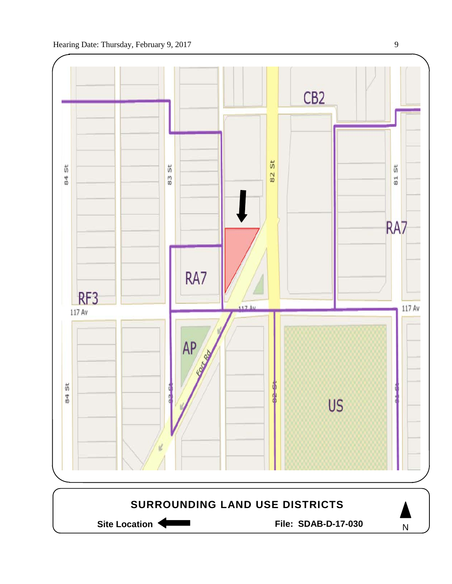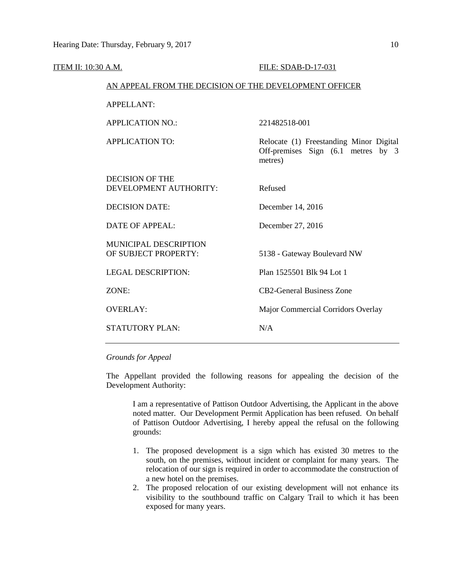| <u>ITEM II: 10:30 A.M.</u> |                                                        | FILE: SDAB-D-17-031                                                                      |
|----------------------------|--------------------------------------------------------|------------------------------------------------------------------------------------------|
|                            | AN APPEAL FROM THE DECISION OF THE DEVELOPMENT OFFICER |                                                                                          |
|                            | <b>APPELLANT:</b>                                      |                                                                                          |
|                            | <b>APPLICATION NO.:</b>                                | 221482518-001                                                                            |
|                            | <b>APPLICATION TO:</b>                                 | Relocate (1) Freestanding Minor Digital<br>Off-premises Sign (6.1 metres by 3<br>metres) |
|                            | <b>DECISION OF THE</b><br>DEVELOPMENT AUTHORITY:       | Refused                                                                                  |
|                            | <b>DECISION DATE:</b>                                  | December 14, 2016                                                                        |
|                            | <b>DATE OF APPEAL:</b>                                 | December 27, 2016                                                                        |
|                            | <b>MUNICIPAL DESCRIPTION</b><br>OF SUBJECT PROPERTY:   | 5138 - Gateway Boulevard NW                                                              |
|                            | <b>LEGAL DESCRIPTION:</b>                              | Plan 1525501 Blk 94 Lot 1                                                                |
|                            | ZONE:                                                  | <b>CB2-General Business Zone</b>                                                         |
|                            | <b>OVERLAY:</b>                                        | Major Commercial Corridors Overlay                                                       |
|                            | <b>STATUTORY PLAN:</b>                                 | N/A                                                                                      |

### *Grounds for Appeal*

The Appellant provided the following reasons for appealing the decision of the Development Authority:

I am a representative of Pattison Outdoor Advertising, the Applicant in the above noted matter. Our Development Permit Application has been refused. On behalf of Pattison Outdoor Advertising, I hereby appeal the refusal on the following grounds:

- 1. The proposed development is a sign which has existed 30 metres to the south, on the premises, without incident or complaint for many years. The relocation of our sign is required in order to accommodate the construction of a new hotel on the premises.
- 2. The proposed relocation of our existing development will not enhance its visibility to the southbound traffic on Calgary Trail to which it has been exposed for many years.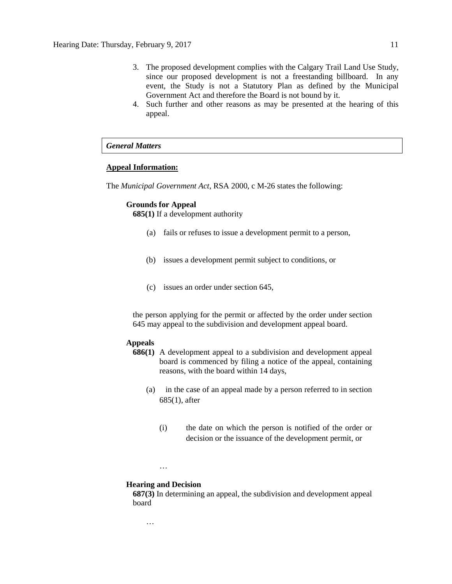- 3. The proposed development complies with the Calgary Trail Land Use Study, since our proposed development is not a freestanding billboard. In any event, the Study is not a Statutory Plan as defined by the Municipal Government Act and therefore the Board is not bound by it.
- 4. Such further and other reasons as may be presented at the hearing of this appeal.

# *General Matters*

#### **Appeal Information:**

The *Municipal Government Act*, RSA 2000, c M-26 states the following:

#### **Grounds for Appeal**

**685(1)** If a development authority

- (a) fails or refuses to issue a development permit to a person,
- (b) issues a development permit subject to conditions, or
- (c) issues an order under section 645,

the person applying for the permit or affected by the order under section 645 may appeal to the subdivision and development appeal board.

### **Appeals**

- **686(1)** A development appeal to a subdivision and development appeal board is commenced by filing a notice of the appeal, containing reasons, with the board within 14 days,
	- (a) in the case of an appeal made by a person referred to in section 685(1), after
		- (i) the date on which the person is notified of the order or decision or the issuance of the development permit, or
	- …

…

#### **Hearing and Decision**

**687(3)** In determining an appeal, the subdivision and development appeal board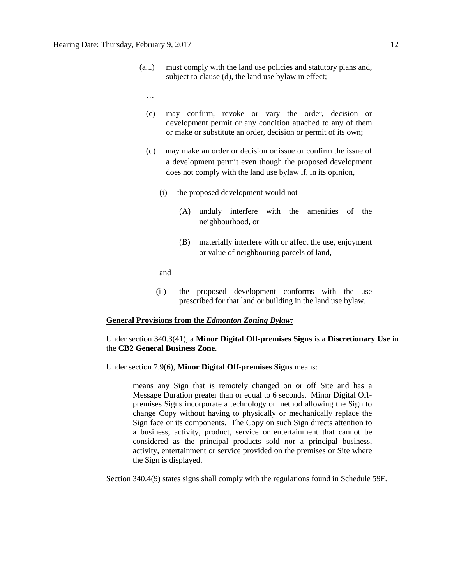- (a.1) must comply with the land use policies and statutory plans and, subject to clause (d), the land use bylaw in effect;
	- …
	- (c) may confirm, revoke or vary the order, decision or development permit or any condition attached to any of them or make or substitute an order, decision or permit of its own;
	- (d) may make an order or decision or issue or confirm the issue of a development permit even though the proposed development does not comply with the land use bylaw if, in its opinion,
		- (i) the proposed development would not
			- (A) unduly interfere with the amenities of the neighbourhood, or
			- (B) materially interfere with or affect the use, enjoyment or value of neighbouring parcels of land,

and

(ii) the proposed development conforms with the use prescribed for that land or building in the land use bylaw.

#### **General Provisions from the** *Edmonton Zoning Bylaw:*

#### Under section 340.3(41), a **Minor Digital Off-premises Signs** is a **Discretionary Use** in the **CB2 General Business Zone**.

#### Under section 7.9(6), **Minor Digital Off-premises Signs** means:

means any Sign that is remotely changed on or off Site and has a Message Duration greater than or equal to 6 seconds. Minor Digital Offpremises Signs incorporate a technology or method allowing the Sign to change Copy without having to physically or mechanically replace the Sign face or its components. The Copy on such Sign directs attention to a business, activity, product, service or entertainment that cannot be considered as the principal products sold nor a principal business, activity, entertainment or service provided on the premises or Site where the Sign is displayed.

Section 340.4(9) states signs shall comply with the regulations found in Schedule 59F.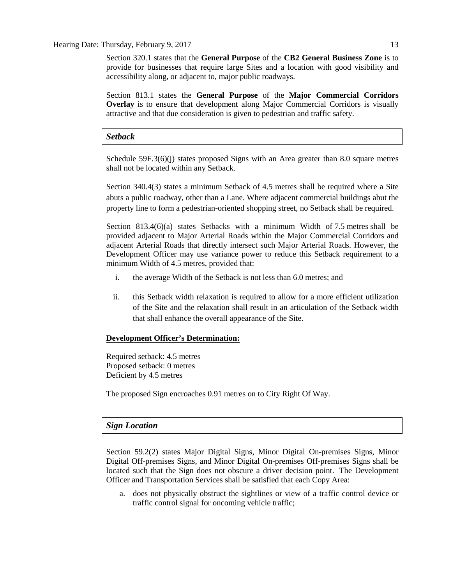#### Hearing Date: Thursday, February 9, 2017 13

Section 320.1 states that the **General Purpose** of the **CB2 General Business Zone** is to provide for businesses that require large Sites and a location with good visibility and accessibility along, or adjacent to, major public roadways.

Section 813.1 states the **General Purpose** of the **Major Commercial Corridors Overlay** is to ensure that development along Major Commercial Corridors is visually attractive and that due consideration is given to pedestrian and traffic safety.

#### *Setback*

Schedule 59F.3(6)(j) states proposed Signs with an Area greater than 8.0 square metres shall not be located within any Setback.

Section 340.4(3) states a minimum Setback of 4.5 metres shall be required where a Site abuts a public roadway, other than a Lane. Where adjacent commercial buildings abut the property line to form a pedestrian-oriented shopping street, no Setback shall be required.

Section 813.4( $6$ )(a) states Setbacks with a minimum Width of 7.5 metres shall be provided adjacent to Major Arterial Roads within the Major Commercial Corridors and adjacent Arterial Roads that directly intersect such Major Arterial Roads. However, the Development Officer may use variance power to reduce this Setback requirement to a minimum Width of 4.5 metres, provided that:

- i. the average Width of the Setback is not less than [6.0](javascript:void(0);) metres; and
- ii. this Setback width relaxation is required to allow for a more efficient utilization of the Site and the relaxation shall result in an articulation of the Setback width that shall enhance the overall appearance of the Site.

#### **Development Officer's Determination:**

Required setback: 4.5 metres Proposed setback: 0 metres Deficient by 4.5 metres

The proposed Sign encroaches 0.91 metres on to City Right Of Way.

## *Sign Location*

Section 59.2(2) states Major Digital Signs, Minor Digital On-premises Signs, Minor Digital Off-premises Signs, and Minor Digital On-premises Off-premises Signs shall be located such that the Sign does not obscure a driver decision point. The Development Officer and Transportation Services shall be satisfied that each Copy Area:

a. does not physically obstruct the sightlines or view of a traffic control device or traffic control signal for oncoming vehicle traffic;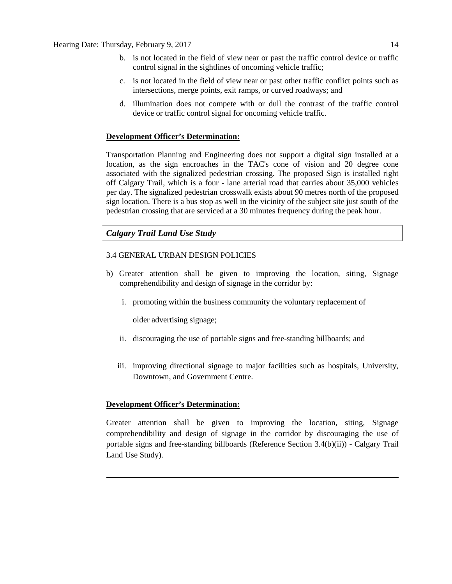- b. is not located in the field of view near or past the traffic control device or traffic control signal in the sightlines of oncoming vehicle traffic;
- c. is not located in the field of view near or past other traffic conflict points such as intersections, merge points, exit ramps, or curved roadways; and
- d. illumination does not compete with or dull the contrast of the traffic control device or traffic control signal for oncoming vehicle traffic.

#### **Development Officer's Determination:**

Transportation Planning and Engineering does not support a digital sign installed at a location, as the sign encroaches in the TAC's cone of vision and 20 degree cone associated with the signalized pedestrian crossing. The proposed Sign is installed right off Calgary Trail, which is a four - lane arterial road that carries about 35,000 vehicles per day. The signalized pedestrian crosswalk exists about 90 metres north of the proposed sign location. There is a bus stop as well in the vicinity of the subject site just south of the pedestrian crossing that are serviced at a 30 minutes frequency during the peak hour.

# *Calgary Trail Land Use Study*

## 3.4 GENERAL URBAN DESIGN POLICIES

- b) Greater attention shall be given to improving the location, siting, Signage comprehendibility and design of signage in the corridor by:
	- i. promoting within the business community the voluntary replacement of

older advertising signage;

- ii. discouraging the use of portable signs and free-standing billboards; and
- iii. improving directional signage to major facilities such as hospitals, University, Downtown, and Government Centre.

#### **Development Officer's Determination:**

Greater attention shall be given to improving the location, siting, Signage comprehendibility and design of signage in the corridor by discouraging the use of portable signs and free-standing billboards (Reference Section 3.4(b)(ii)) - Calgary Trail Land Use Study).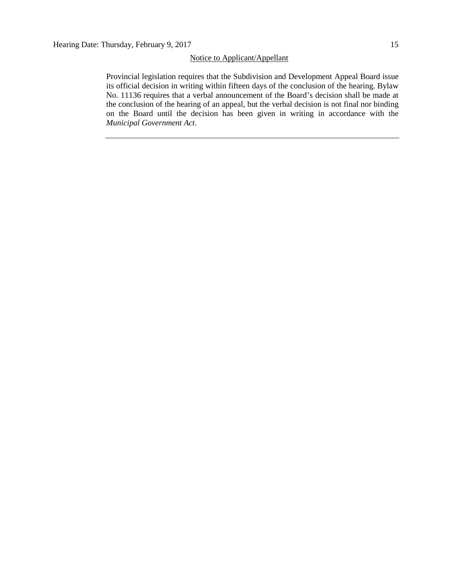#### Notice to Applicant/Appellant

Provincial legislation requires that the Subdivision and Development Appeal Board issue its official decision in writing within fifteen days of the conclusion of the hearing. Bylaw No. 11136 requires that a verbal announcement of the Board's decision shall be made at the conclusion of the hearing of an appeal, but the verbal decision is not final nor binding on the Board until the decision has been given in writing in accordance with the *Municipal Government Act*.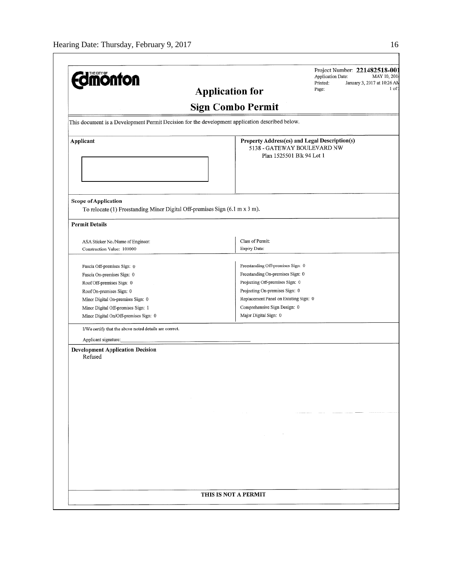| <b>Edmonton</b>                                                                                            | Printed:<br>January 3, 2017 at 10:26 AN<br>$1$ of:<br>Page:<br><b>Application for</b>                     |
|------------------------------------------------------------------------------------------------------------|-----------------------------------------------------------------------------------------------------------|
|                                                                                                            | <b>Sign Combo Permit</b>                                                                                  |
| This document is a Development Permit Decision for the development application described below.            |                                                                                                           |
| Applicant                                                                                                  | Property Address(es) and Legal Description(s)<br>5138 - GATEWAY BOULEVARD NW<br>Plan 1525501 Blk 94 Lot 1 |
| <b>Scope of Application</b><br>To relocate (1) Freestanding Minor Digital Off-premises Sign (6.1 m x 3 m). |                                                                                                           |
| <b>Permit Details</b><br>ASA Sticker No./Name of Engineer:                                                 | Class of Permit:                                                                                          |
| Construction Value: 100000                                                                                 | Expiry Date:                                                                                              |
| Fascia Off-premises Sign: 0                                                                                | Freestanding Off-premises Sign: 0                                                                         |
| Fascia On-premises Sign: 0                                                                                 | Freestanding On-premises Sign: 0                                                                          |
| Roof Off-premises Sign: 0                                                                                  | Projecting Off-premises Sign: 0                                                                           |
| Roof On-premises Sign: 0                                                                                   | Projecting On-premises Sign: 0                                                                            |
| Minor Digital On-premises Sign: 0                                                                          | Replacement Panel on Existing Sign: 0                                                                     |
| Minor Digital Off-premises Sign: 1                                                                         | Comprehensive Sign Design: 0                                                                              |
| Minor Digital On/Off-premises Sign: 0                                                                      | Major Digital Sign: 0                                                                                     |
| I/We certify that the above noted details are correct.                                                     |                                                                                                           |
| Applicant signature:                                                                                       |                                                                                                           |
| <b>Development Application Decision</b><br>Refused                                                         |                                                                                                           |
|                                                                                                            |                                                                                                           |
|                                                                                                            |                                                                                                           |
|                                                                                                            |                                                                                                           |
|                                                                                                            |                                                                                                           |
|                                                                                                            |                                                                                                           |
|                                                                                                            |                                                                                                           |
|                                                                                                            |                                                                                                           |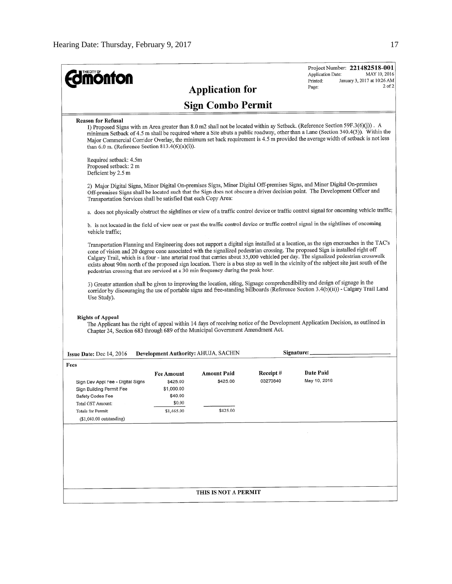|                                                                                                                                                           |                                                                                                                                        |                          |            | Project Number: 221482518-001<br><b>Application Date:</b><br>MAY 10, 2016                                                                                                                                                                                                                                                                                                                                                                                                                                                                                |  |  |
|-----------------------------------------------------------------------------------------------------------------------------------------------------------|----------------------------------------------------------------------------------------------------------------------------------------|--------------------------|------------|----------------------------------------------------------------------------------------------------------------------------------------------------------------------------------------------------------------------------------------------------------------------------------------------------------------------------------------------------------------------------------------------------------------------------------------------------------------------------------------------------------------------------------------------------------|--|--|
| <b>monton</b>                                                                                                                                             |                                                                                                                                        | <b>Application for</b>   |            | Printed:<br>January 3, 2017 at 10:26 AM<br>$2$ of $2$<br>Page:                                                                                                                                                                                                                                                                                                                                                                                                                                                                                           |  |  |
|                                                                                                                                                           |                                                                                                                                        |                          |            |                                                                                                                                                                                                                                                                                                                                                                                                                                                                                                                                                          |  |  |
|                                                                                                                                                           |                                                                                                                                        | <b>Sign Combo Permit</b> |            |                                                                                                                                                                                                                                                                                                                                                                                                                                                                                                                                                          |  |  |
| <b>Reason for Refusal</b><br>than $6.0$ m. (Reference Section $813.4(6)(a)(i)$ ).                                                                         |                                                                                                                                        |                          |            | 1) Proposed Signs with an Area greater than 8.0 m2 shall not be located within ay Setback. (Reference Section 59F.3(6)(j)). A<br>minimum Setback of 4.5 m shall be required where a Site abuts a public roadway, other than a Lane (Section 340.4(3)). Within the<br>Major Commercial Corridor Overlay, the minimum set back requirement is 4.5 m provided the average width of setback is not less                                                                                                                                                      |  |  |
| Required setback: 4.5m<br>Proposed setback: 2 m<br>Deficient by 2.5 m                                                                                     |                                                                                                                                        |                          |            |                                                                                                                                                                                                                                                                                                                                                                                                                                                                                                                                                          |  |  |
| Transportation Services shall be satisfied that each Copy Area:                                                                                           |                                                                                                                                        |                          |            | 2) Major Digital Signs, Minor Digital On-premises Signs, Minor Digital Off-premises Signs, and Minor Digital On-premises<br>Off-premises Signs shall be located such that the Sign does not obscure a driver decision point. The Development Officer and                                                                                                                                                                                                                                                                                                 |  |  |
|                                                                                                                                                           |                                                                                                                                        |                          |            | a. does not physically obstruct the sightlines or view of a traffic control device or traffic control signal for oncoming vehicle traffic:                                                                                                                                                                                                                                                                                                                                                                                                               |  |  |
| vehicle traffic;                                                                                                                                          | b. is not located in the field of view near or past the traffic control device or traffic control signal in the sightlines of oncoming |                          |            |                                                                                                                                                                                                                                                                                                                                                                                                                                                                                                                                                          |  |  |
| pedestrian crossing that are serviced at a 30 min frequency during the peak hour.                                                                         |                                                                                                                                        |                          |            | Transportation Planning and Engineering does not support a digital sign installed at a location, as the sign encroaches in the TAC's<br>cone of vision and 20 degree cone associated with the signalized pedestrian crossing. The proposed Sign is installed right off<br>Calgary Trail, which is a four - lane arterial road that carries about 35,000 vehicled per day. The signalized pedestrian crosswalk<br>exists about 90m north of the proposed sign location. There is a bus stop as well in the vicinity of the subject site just south of the |  |  |
| Use Study).                                                                                                                                               |                                                                                                                                        |                          |            | 3) Greater attention shall be given to improving the location, siting, Signage comprehendibility and design of signage in the<br>corridor by discouraging the use of portable signs and free-standing billboards (Reference Section 3.4(b)(ii)) - Calgary Trail Land                                                                                                                                                                                                                                                                                     |  |  |
| <b>Rights of Appeal</b><br>Chapter 24, Section 683 through 689 of the Municipal Government Amendment Act.                                                 |                                                                                                                                        |                          |            | The Applicant has the right of appeal within 14 days of receiving notice of the Development Application Decision, as outlined in                                                                                                                                                                                                                                                                                                                                                                                                                         |  |  |
| <b>Issue Date:</b> Dec $14, 2016$                                                                                                                         | Development Authority: AHUJA, SACHIN                                                                                                   |                          | Signature: |                                                                                                                                                                                                                                                                                                                                                                                                                                                                                                                                                          |  |  |
| Fees                                                                                                                                                      |                                                                                                                                        | Amount Paid              | Receipt#   | Date Paid                                                                                                                                                                                                                                                                                                                                                                                                                                                                                                                                                |  |  |
| Sign Dev Appl Fee - Digital Signs<br>Sign Building Permit Fee<br>Safety Codes Fee<br>Total GST Amount:<br>Totals for Permit:<br>$($1,040.00$ outstanding) | Fee Amount<br>\$425.00<br>\$1,000.00<br>\$40.00<br>\$0.00<br>\$1,465.00                                                                | \$425.00<br>\$425.00     | 03270840   | May 10, 2016                                                                                                                                                                                                                                                                                                                                                                                                                                                                                                                                             |  |  |
|                                                                                                                                                           |                                                                                                                                        |                          |            |                                                                                                                                                                                                                                                                                                                                                                                                                                                                                                                                                          |  |  |
|                                                                                                                                                           |                                                                                                                                        |                          |            |                                                                                                                                                                                                                                                                                                                                                                                                                                                                                                                                                          |  |  |
|                                                                                                                                                           |                                                                                                                                        |                          |            |                                                                                                                                                                                                                                                                                                                                                                                                                                                                                                                                                          |  |  |
|                                                                                                                                                           |                                                                                                                                        |                          |            |                                                                                                                                                                                                                                                                                                                                                                                                                                                                                                                                                          |  |  |
|                                                                                                                                                           |                                                                                                                                        |                          |            |                                                                                                                                                                                                                                                                                                                                                                                                                                                                                                                                                          |  |  |
|                                                                                                                                                           |                                                                                                                                        |                          |            |                                                                                                                                                                                                                                                                                                                                                                                                                                                                                                                                                          |  |  |
|                                                                                                                                                           |                                                                                                                                        |                          |            |                                                                                                                                                                                                                                                                                                                                                                                                                                                                                                                                                          |  |  |